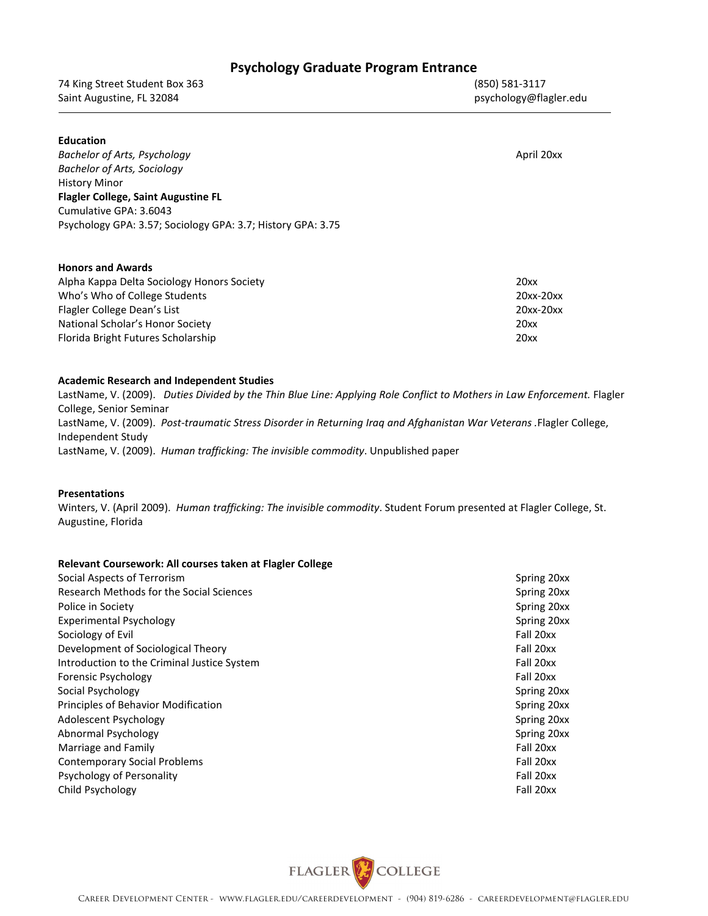| <b>Psychology Graduate Program Entrance</b> |  |  |  |
|---------------------------------------------|--|--|--|
|---------------------------------------------|--|--|--|

74 King Street Student Box 363 (850) 581-3117 Saint Augustine, FL 32084 **psychology@flagler.edu** basic psychology@flagler.edu

| <b>Education</b><br>Bachelor of Arts, Psychology<br>Bachelor of Arts, Sociology<br><b>History Minor</b><br><b>Flagler College, Saint Augustine FL</b><br>Cumulative GPA: 3.6043<br>Psychology GPA: 3.57; Sociology GPA: 3.7; History GPA: 3.75 | April 20xx |
|------------------------------------------------------------------------------------------------------------------------------------------------------------------------------------------------------------------------------------------------|------------|
| <b>Honors and Awards</b><br>Alpha Kappa Delta Sociology Honors Society                                                                                                                                                                         | 20xx       |

| $711$ XX  |
|-----------|
| 20xx-20xx |
| 20xx-20xx |
| 20xx      |
| 20xx      |
|           |

## **Academic Research and Independent Studies**

LastName, V. (2009). *Duties Divided by the Thin Blue Line: Applying Role Conflict to Mothers in Law Enforcement.* Flagler College, Senior Seminar LastName, V. (2009). *Post-traumatic Stress Disorder in Returning Iraq and Afghanistan War Veterans .*Flagler College, Independent Study LastName, V. (2009). *Human trafficking: The invisible commodity*. Unpublished paper

## **Presentations**

Winters, V. (April 2009). *Human trafficking: The invisible commodity*. Student Forum presented at Flagler College, St. Augustine, Florida

## **Relevant Coursework: All courses taken at Flagler College**

| Social Aspects of Terrorism                 | Spring 20xx |
|---------------------------------------------|-------------|
| Research Methods for the Social Sciences    | Spring 20xx |
| Police in Society                           | Spring 20xx |
| <b>Experimental Psychology</b>              | Spring 20xx |
| Sociology of Evil                           | Fall 20xx   |
| Development of Sociological Theory          | Fall 20xx   |
| Introduction to the Criminal Justice System | Fall 20xx   |
| Forensic Psychology                         | Fall 20xx   |
| Social Psychology                           | Spring 20xx |
| Principles of Behavior Modification         | Spring 20xx |
| Adolescent Psychology                       | Spring 20xx |
| Abnormal Psychology                         | Spring 20xx |
| Marriage and Family                         | Fall 20xx   |
| <b>Contemporary Social Problems</b>         | Fall 20xx   |
| Psychology of Personality                   | Fall 20xx   |
| Child Psychology                            | Fall 20xx   |